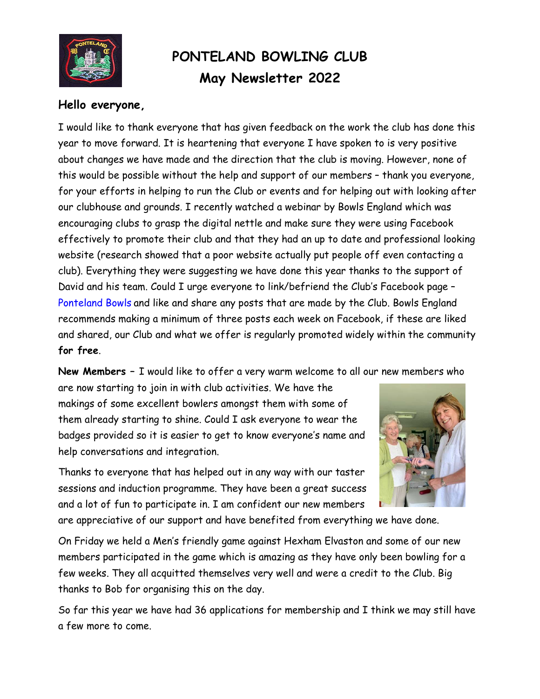

# PONTELAND BOWLING CLUB May Newsletter 2022

# Hello everyone,

I would like to thank everyone that has given feedback on the work the club has done this year to move forward. It is heartening that everyone I have spoken to is very positive about changes we have made and the direction that the club is moving. However, none of this would be possible without the help and support of our members – thank you everyone, for your efforts in helping to run the Club or events and for helping out with looking after our clubhouse and grounds. I recently watched a webinar by Bowls England which was encouraging clubs to grasp the digital nettle and make sure they were using Facebook effectively to promote their club and that they had an up to date and professional looking website (research showed that a poor website actually put people off even contacting a club). Everything they were suggesting we have done this year thanks to the support of David and his team. Could I urge everyone to link/befriend the Club's Facebook page – Ponteland Bowls and like and share any posts that are made by the Club. Bowls England recommends making a minimum of three posts each week on Facebook, if these are liked and shared, our Club and what we offer is regularly promoted widely within the community for free.

New Members – I would like to offer a very warm welcome to all our new members who

are now starting to join in with club activities. We have the makings of some excellent bowlers amongst them with some of them already starting to shine. Could I ask everyone to wear the badges provided so it is easier to get to know everyone's name and help conversations and integration.

Thanks to everyone that has helped out in any way with our taster sessions and induction programme. They have been a great success and a lot of fun to participate in. I am confident our new members



are appreciative of our support and have benefited from everything we have done.

On Friday we held a Men's friendly game against Hexham Elvaston and some of our new members participated in the game which is amazing as they have only been bowling for a few weeks. They all acquitted themselves very well and were a credit to the Club. Big thanks to Bob for organising this on the day.

So far this year we have had 36 applications for membership and I think we may still have a few more to come.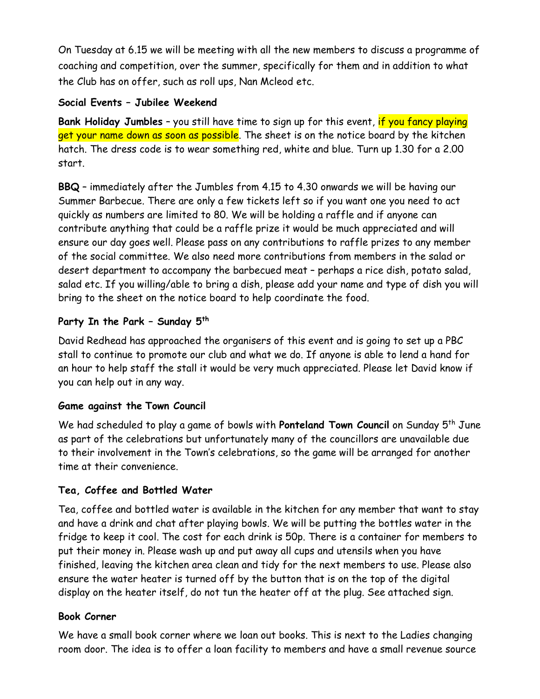On Tuesday at 6.15 we will be meeting with all the new members to discuss a programme of coaching and competition, over the summer, specifically for them and in addition to what the Club has on offer, such as roll ups, Nan Mcleod etc.

# Social Events – Jubilee Weekend

Bank Holiday Jumbles - you still have time to sign up for this event, if you fancy playing get your name down as soon as possible. The sheet is on the notice board by the kitchen hatch. The dress code is to wear something red, white and blue. Turn up 1.30 for a 2.00 start.

BBQ – immediately after the Jumbles from 4.15 to 4.30 onwards we will be having our Summer Barbecue. There are only a few tickets left so if you want one you need to act quickly as numbers are limited to 80. We will be holding a raffle and if anyone can contribute anything that could be a raffle prize it would be much appreciated and will ensure our day goes well. Please pass on any contributions to raffle prizes to any member of the social committee. We also need more contributions from members in the salad or desert department to accompany the barbecued meat – perhaps a rice dish, potato salad, salad etc. If you willing/able to bring a dish, please add your name and type of dish you will bring to the sheet on the notice board to help coordinate the food.

# Party In the Park - Sunday 5<sup>th</sup>

David Redhead has approached the organisers of this event and is going to set up a PBC stall to continue to promote our club and what we do. If anyone is able to lend a hand for an hour to help staff the stall it would be very much appreciated. Please let David know if you can help out in any way.

#### Game against the Town Council

We had scheduled to play a game of bowls with Ponteland Town Council on Sunday 5<sup>th</sup> June as part of the celebrations but unfortunately many of the councillors are unavailable due to their involvement in the Town's celebrations, so the game will be arranged for another time at their convenience.

# Tea, Coffee and Bottled Water

Tea, coffee and bottled water is available in the kitchen for any member that want to stay and have a drink and chat after playing bowls. We will be putting the bottles water in the fridge to keep it cool. The cost for each drink is 50p. There is a container for members to put their money in. Please wash up and put away all cups and utensils when you have finished, leaving the kitchen area clean and tidy for the next members to use. Please also ensure the water heater is turned off by the button that is on the top of the digital display on the heater itself, do not tun the heater off at the plug. See attached sign.

#### Book Corner

We have a small book corner where we loan out books. This is next to the Ladies changing room door. The idea is to offer a loan facility to members and have a small revenue source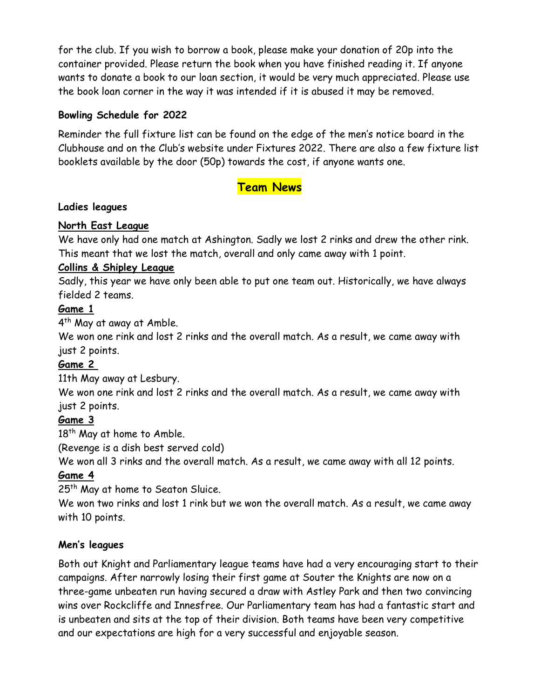for the club. If you wish to borrow a book, please make your donation of 20p into the container provided. Please return the book when you have finished reading it. If anyone wants to donate a book to our loan section, it would be very much appreciated. Please use the book loan corner in the way it was intended if it is abused it may be removed.

#### Bowling Schedule for 2022

Reminder the full fixture list can be found on the edge of the men's notice board in the Clubhouse and on the Club's website under Fixtures 2022. There are also a few fixture list booklets available by the door (50p) towards the cost, if anyone wants one.

# Team News

#### Ladies leagues

# North East League

We have only had one match at Ashington. Sadly we lost 2 rinks and drew the other rink. This meant that we lost the match, overall and only came away with 1 point.

# Collins & Shipley League

Sadly, this year we have only been able to put one team out. Historically, we have always fielded 2 teams.

#### Game 1

4<sup>th</sup> May at away at Amble.

We won one rink and lost 2 rinks and the overall match. As a result, we came away with just 2 points.

#### Game 2

11th May away at Lesbury.

We won one rink and lost 2 rinks and the overall match. As a result, we came away with just 2 points.

# Game 3

18<sup>th</sup> May at home to Amble.

(Revenge is a dish best served cold)

We won all 3 rinks and the overall match. As a result, we came away with all 12 points.

# Game 4

25<sup>th</sup> May at home to Seaton Sluice.

We won two rinks and lost 1 rink but we won the overall match. As a result, we came away with 10 points.

#### Men's leagues

Both out Knight and Parliamentary league teams have had a very encouraging start to their campaigns. After narrowly losing their first game at Souter the Knights are now on a three-game unbeaten run having secured a draw with Astley Park and then two convincing wins over Rockcliffe and Innesfree. Our Parliamentary team has had a fantastic start and is unbeaten and sits at the top of their division. Both teams have been very competitive and our expectations are high for a very successful and enjoyable season.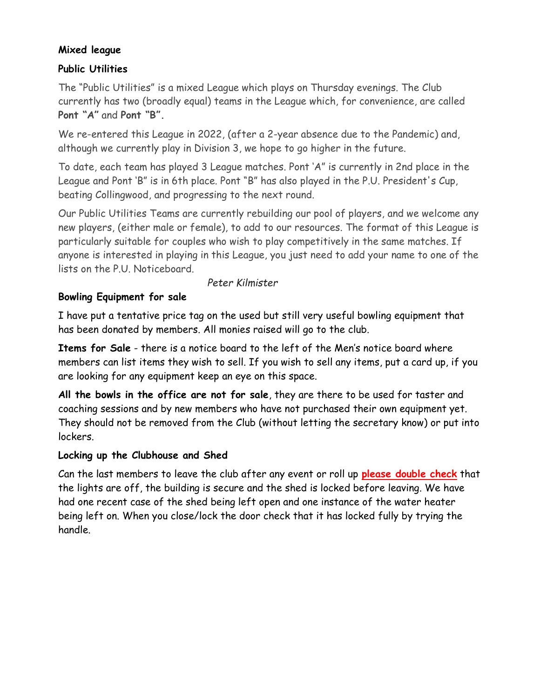# Mixed league

# Public Utilities

The "Public Utilities" is a mixed League which plays on Thursday evenings. The Club currently has two (broadly equal) teams in the League which, for convenience, are called Pont "A" and Pont "B".

We re-entered this League in 2022, (after a 2-year absence due to the Pandemic) and, although we currently play in Division 3, we hope to go higher in the future.

To date, each team has played 3 League matches. Pont 'A" is currently in 2nd place in the League and Pont 'B" is in 6th place. Pont "B" has also played in the P.U. President's Cup, beating Collingwood, and progressing to the next round.

Our Public Utilities Teams are currently rebuilding our pool of players, and we welcome any new players, (either male or female), to add to our resources. The format of this League is particularly suitable for couples who wish to play competitively in the same matches. If anyone is interested in playing in this League, you just need to add your name to one of the lists on the P.U. Noticeboard.

#### Peter Kilmister

# Bowling Equipment for sale

I have put a tentative price tag on the used but still very useful bowling equipment that has been donated by members. All monies raised will go to the club.

Items for Sale - there is a notice board to the left of the Men's notice board where members can list items they wish to sell. If you wish to sell any items, put a card up, if you are looking for any equipment keep an eye on this space.

All the bowls in the office are not for sale, they are there to be used for taster and coaching sessions and by new members who have not purchased their own equipment yet. They should not be removed from the Club (without letting the secretary know) or put into lockers.

#### Locking up the Clubhouse and Shed

Can the last members to leave the club after any event or roll up **please double check** that the lights are off, the building is secure and the shed is locked before leaving. We have had one recent case of the shed being left open and one instance of the water heater being left on. When you close/lock the door check that it has locked fully by trying the handle.